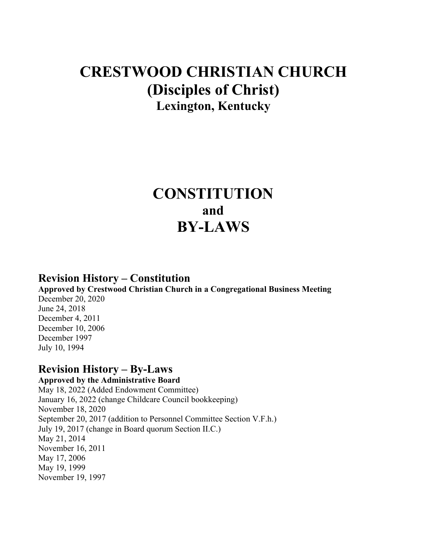# **CRESTWOOD CHRISTIAN CHURCH (Disciples of Christ) Lexington, Kentucky**

# **CONSTITUTION and BY-LAWS**

# **Revision History – Constitution**

**Approved by Crestwood Christian Church in a Congregational Business Meeting** December 20, 2020 June 24, 2018 December 4, 2011 December 10, 2006 December 1997 July 10, 1994

# **Revision History – By-Laws**

**Approved by the Administrative Board** May 18, 2022 (Added Endowment Committee) January 16, 2022 (change Childcare Council bookkeeping) November 18, 2020 September 20, 2017 (addition to Personnel Committee Section V.F.h.) July 19, 2017 (change in Board quorum Section II.C.) May 21, 2014 November 16, 2011 May 17, 2006 May 19, 1999 November 19, 1997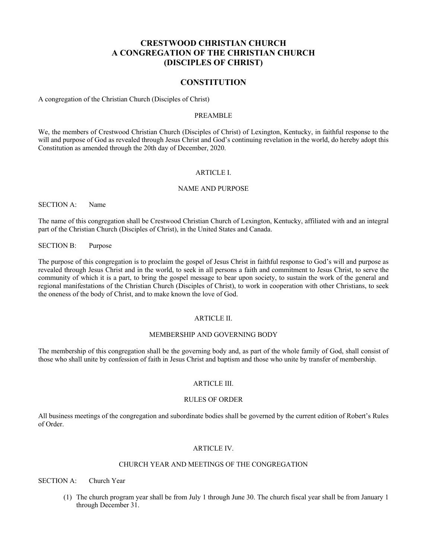# **CRESTWOOD CHRISTIAN CHURCH A CONGREGATION OF THE CHRISTIAN CHURCH (DISCIPLES OF CHRIST)**

# **CONSTITUTION**

A congregation of the Christian Church (Disciples of Christ)

# PREAMBLE

We, the members of Crestwood Christian Church (Disciples of Christ) of Lexington, Kentucky, in faithful response to the will and purpose of God as revealed through Jesus Christ and God's continuing revelation in the world, do hereby adopt this Constitution as amended through the 20th day of December, 2020.

## ARTICLE I.

#### NAME AND PURPOSE

SECTION A: Name

The name of this congregation shall be Crestwood Christian Church of Lexington, Kentucky, affiliated with and an integral part of the Christian Church (Disciples of Christ), in the United States and Canada.

SECTION B: Purpose

The purpose of this congregation is to proclaim the gospel of Jesus Christ in faithful response to God's will and purpose as revealed through Jesus Christ and in the world, to seek in all persons a faith and commitment to Jesus Christ, to serve the community of which it is a part, to bring the gospel message to bear upon society, to sustain the work of the general and regional manifestations of the Christian Church (Disciples of Christ), to work in cooperation with other Christians, to seek the oneness of the body of Christ, and to make known the love of God.

#### ARTICLE II.

#### MEMBERSHIP AND GOVERNING BODY

The membership of this congregation shall be the governing body and, as part of the whole family of God, shall consist of those who shall unite by confession of faith in Jesus Christ and baptism and those who unite by transfer of membership.

#### ARTICLE III.

#### RULES OF ORDER

All business meetings of the congregation and subordinate bodies shall be governed by the current edition of Robert's Rules of Order.

#### ARTICLE IV.

#### CHURCH YEAR AND MEETINGS OF THE CONGREGATION

SECTION A: Church Year

(1) The church program year shall be from July 1 through June 30. The church fiscal year shall be from January 1 through December 31.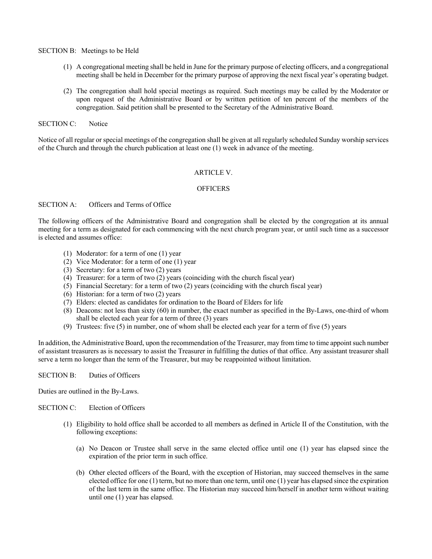SECTION B: Meetings to be Held

- (1) A congregational meeting shall be held in June for the primary purpose of electing officers, and a congregational meeting shall be held in December for the primary purpose of approving the next fiscal year's operating budget.
- (2) The congregation shall hold special meetings as required. Such meetings may be called by the Moderator or upon request of the Administrative Board or by written petition of ten percent of the members of the congregation. Said petition shall be presented to the Secretary of the Administrative Board.

SECTION C: Notice

Notice of all regular or special meetings of the congregation shall be given at all regularly scheduled Sunday worship services of the Church and through the church publication at least one (1) week in advance of the meeting.

## ARTICLE V.

## **OFFICERS**

#### SECTION A: Officers and Terms of Office

The following officers of the Administrative Board and congregation shall be elected by the congregation at its annual meeting for a term as designated for each commencing with the next church program year, or until such time as a successor is elected and assumes office:

- (1) Moderator: for a term of one (1) year
- (2) Vice Moderator: for a term of one (1) year
- (3) Secretary: for a term of two (2) years
- (4) Treasurer: for a term of two (2) years (coinciding with the church fiscal year)
- (5) Financial Secretary: for a term of two (2) years (coinciding with the church fiscal year)
- (6) Historian: for a term of two (2) years
- (7) Elders: elected as candidates for ordination to the Board of Elders for life
- (8) Deacons: not less than sixty (60) in number, the exact number as specified in the By-Laws, one-third of whom shall be elected each year for a term of three (3) years
- (9) Trustees: five (5) in number, one of whom shall be elected each year for a term of five (5) years

In addition, the Administrative Board, upon the recommendation of the Treasurer, may from time to time appoint such number of assistant treasurers as is necessary to assist the Treasurer in fulfilling the duties of that office. Any assistant treasurer shall serve a term no longer than the term of the Treasurer, but may be reappointed without limitation.

SECTION B: Duties of Officers

Duties are outlined in the By-Laws.

SECTION C: Election of Officers

- (1) Eligibility to hold office shall be accorded to all members as defined in Article II of the Constitution, with the following exceptions:
	- (a) No Deacon or Trustee shall serve in the same elected office until one (1) year has elapsed since the expiration of the prior term in such office.
	- (b) Other elected officers of the Board, with the exception of Historian, may succeed themselves in the same elected office for one (1) term, but no more than one term, until one (1) year has elapsed since the expiration of the last term in the same office. The Historian may succeed him/herself in another term without waiting until one (1) year has elapsed.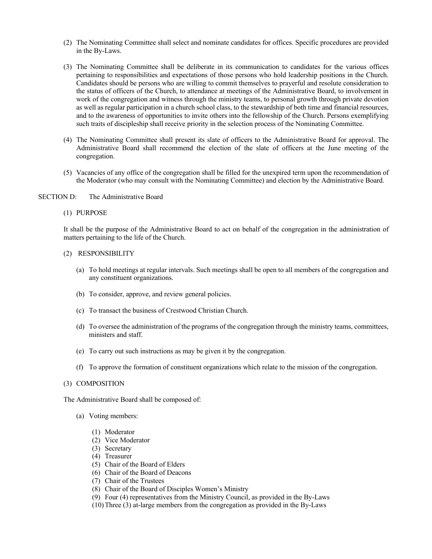- (2) The Nominating Committee shall select and nominate candidates for offices. Specific procedures are provided in the By-Laws.
- (3) The Nominating Committee shall be deliberate in its communication to candidates for the various offices pertaining to responsibilities and expectations of those persons who hold leadership positions in the Church. Candidates should be persons who are willing to commit themselves to prayerful and resolute consideration to the status of officers of the Church, to attendance at meetings of the Administrative Board, to involvement in work of the congregation and witness through the ministry teams, to personal growth through private devotion as well as regular participation in a church school class, to the stewardship of both time and financial resources, and to the awareness of opportunities to invite others into the fellowship of the Church. Persons exemplifying such traits of discipleship shall receive priority in the selection process of the Nominating Committee.
- (4) The Nominating Committee shall present its slate of officers to the Administrative Board for approval. The Administrative Board shall recommend the election of the slate of officers at the June meeting of the congregation.
- (5) Vacancies of any office of the congregation shall be filled for the unexpired term upon the recommendation of the Moderator (who may consult with the Nominating Committee) and election by the Administrative Board.
- SECTION D: The Administrative Board
	- (1) PURPOSE

It shall be the purpose of the Administrative Board to act on behalf of the congregation in the administration of matters pertaining to the life of the Church.

- (2) RESPONSIBILITY
	- (a) To hold meetings at regular intervals. Such meetings shall be open to all members of the congregation and any constituent organizations.
	- (b) To consider, approve, and review general policies.
	- (c) To transact the business of Crestwood Christian Church.
	- (d) To oversee the administration of the programs of the congregation through the ministry teams, committees, ministers and staff.
	- (e) To carry out such instructions as may be given it by the congregation.
	- (f) To approve the formation of constituent organizations which relate to the mission of the congregation.
- (3) COMPOSITION

The Administrative Board shall be composed of:

- (a) Voting members:
	- (1) Moderator
	- (2) Vice Moderator
	- (3) Secretary
	- (4) Treasurer
	- (5) Chair of the Board of Elders
	- (6) Chair of the Board of Deacons
	- (7) Chair of the Trustees
	- (8) Chair of the Board of Disciples Women's Ministry
	- (9) Four (4) representatives from the Ministry Council, as provided in the By-Laws
	- (10)Three (3) at-large members from the congregation as provided in the By-Laws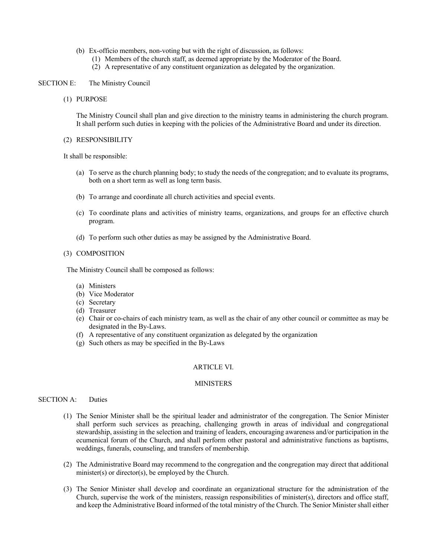- (b) Ex-officio members, non-voting but with the right of discussion, as follows:
	- (1) Members of the church staff, as deemed appropriate by the Moderator of the Board.
	- (2) A representative of any constituent organization as delegated by the organization.

# SECTION E: The Ministry Council

(1) PURPOSE

The Ministry Council shall plan and give direction to the ministry teams in administering the church program. It shall perform such duties in keeping with the policies of the Administrative Board and under its direction.

(2) RESPONSIBILITY

It shall be responsible:

- (a) To serve as the church planning body; to study the needs of the congregation; and to evaluate its programs, both on a short term as well as long term basis.
- (b) To arrange and coordinate all church activities and special events.
- (c) To coordinate plans and activities of ministry teams, organizations, and groups for an effective church program.
- (d) To perform such other duties as may be assigned by the Administrative Board.

#### (3) COMPOSITION

The Ministry Council shall be composed as follows:

- (a) Ministers
- (b) Vice Moderator
- (c) Secretary
- (d) Treasurer
- (e) Chair or co-chairs of each ministry team, as well as the chair of any other council or committee as may be designated in the By-Laws.
- (f) A representative of any constituent organization as delegated by the organization
- (g) Such others as may be specified in the By-Laws

#### ARTICLE VI.

#### MINISTERS

## SECTION A: Duties

- (1) The Senior Minister shall be the spiritual leader and administrator of the congregation. The Senior Minister shall perform such services as preaching, challenging growth in areas of individual and congregational stewardship, assisting in the selection and training of leaders, encouraging awareness and/or participation in the ecumenical forum of the Church, and shall perform other pastoral and administrative functions as baptisms, weddings, funerals, counseling, and transfers of membership.
- (2) The Administrative Board may recommend to the congregation and the congregation may direct that additional minister(s) or director(s), be employed by the Church.
- (3) The Senior Minister shall develop and coordinate an organizational structure for the administration of the Church, supervise the work of the ministers, reassign responsibilities of minister(s), directors and office staff, and keep the Administrative Board informed of the total ministry of the Church. The Senior Minister shall either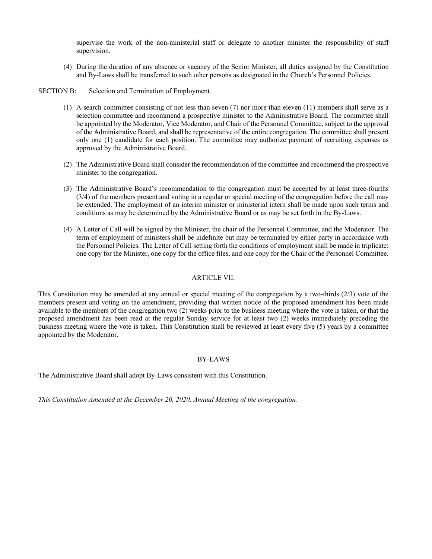supervise the work of the non-ministerial staff or delegate to another minister the responsibility of staff supervision.

(4) During the duration of any absence or vacancy of the Senior Minister, all duties assigned by the Constitution and By-Laws shall be transferred to such other persons as designated in the Church's Personnel Policies.

SECTION B: Selection and Termination of Employment

- (1) A search committee consisting of not less than seven (7) nor more than eleven (11) members shall serve as a selection committee and recommend a prospective minister to the Administrative Board. The committee shall be appointed by the Moderator, Vice Moderator, and Chair of the Personnel Committee, subject to the approval of the Administrative Board, and shall be representative of the entire congregation. The committee shall present only one (1) candidate for each position. The committee may authorize payment of recruiting expenses as approved by the Administrative Board.
- (2) The Administrative Board shall consider the recommendation of the committee and recommend the prospective minister to the congregation.
- (3) The Administrative Board's recommendation to the congregation must be accepted by at least three-fourths (3/4) of the members present and voting in a regular or special meeting of the congregation before the call may be extended. The employment of an interim minister or ministerial intern shall be made upon such terms and conditions as may be determined by the Administrative Board or as may be set forth in the By-Laws.
- (4) A Letter of Call will be signed by the Minister, the chair of the Personnel Committee, and the Moderator. The term of employment of ministers shall be indefinite but may be terminated by either party in accordance with the Personnel Policies. The Letter of Call setting forth the conditions of employment shall be made in triplicate: one copy for the Minister, one copy for the office files, and one copy for the Chair of the Personnel Committee.

# ARTICLE VII.

This Constitution may be amended at any annual or special meeting of the congregation by a two-thirds (2/3) vote of the members present and voting on the amendment, providing that written notice of the proposed amendment has been made available to the members of the congregation two (2) weeks prior to the business meeting where the vote is taken, or that the proposed amendment has been read at the regular Sunday service for at least two (2) weeks immediately preceding the business meeting where the vote is taken. This Constitution shall be reviewed at least every five (5) years by a committee appointed by the Moderator.

## BY-LAWS

The Administrative Board shall adopt By-Laws consistent with this Constitution.

*This Constitution Amended at the December 20, 2020, Annual Meeting of the congregation.*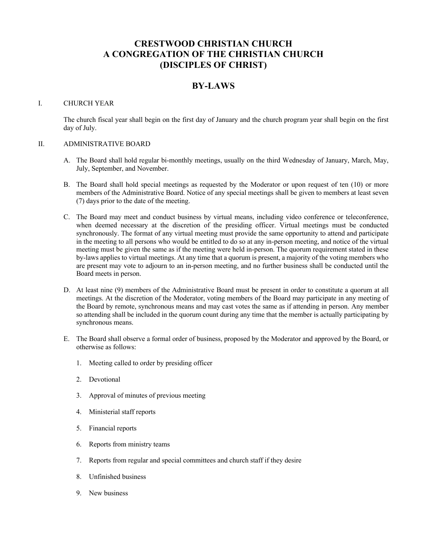# **CRESTWOOD CHRISTIAN CHURCH A CONGREGATION OF THE CHRISTIAN CHURCH (DISCIPLES OF CHRIST)**

# **BY-LAWS**

## I. CHURCH YEAR

The church fiscal year shall begin on the first day of January and the church program year shall begin on the first day of July.

# II. ADMINISTRATIVE BOARD

- A. The Board shall hold regular bi-monthly meetings, usually on the third Wednesday of January, March, May, July, September, and November.
- B. The Board shall hold special meetings as requested by the Moderator or upon request of ten (10) or more members of the Administrative Board. Notice of any special meetings shall be given to members at least seven (7) days prior to the date of the meeting.
- C. The Board may meet and conduct business by virtual means, including video conference or teleconference, when deemed necessary at the discretion of the presiding officer. Virtual meetings must be conducted synchronously. The format of any virtual meeting must provide the same opportunity to attend and participate in the meeting to all persons who would be entitled to do so at any in-person meeting, and notice of the virtual meeting must be given the same as if the meeting were held in-person. The quorum requirement stated in these by-laws applies to virtual meetings. At any time that a quorum is present, a majority of the voting members who are present may vote to adjourn to an in-person meeting, and no further business shall be conducted until the Board meets in person.
- D. At least nine (9) members of the Administrative Board must be present in order to constitute a quorum at all meetings. At the discretion of the Moderator, voting members of the Board may participate in any meeting of the Board by remote, synchronous means and may cast votes the same as if attending in person. Any member so attending shall be included in the quorum count during any time that the member is actually participating by synchronous means.
- E. The Board shall observe a formal order of business, proposed by the Moderator and approved by the Board, or otherwise as follows:
	- 1. Meeting called to order by presiding officer
	- 2. Devotional
	- 3. Approval of minutes of previous meeting
	- 4. Ministerial staff reports
	- 5. Financial reports
	- 6. Reports from ministry teams
	- 7. Reports from regular and special committees and church staff if they desire
	- 8. Unfinished business
	- 9. New business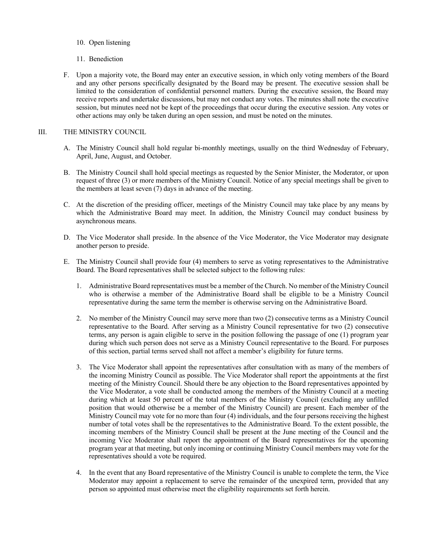- 10. Open listening
- 11. Benediction
- F. Upon a majority vote, the Board may enter an executive session, in which only voting members of the Board and any other persons specifically designated by the Board may be present. The executive session shall be limited to the consideration of confidential personnel matters. During the executive session, the Board may receive reports and undertake discussions, but may not conduct any votes. The minutes shall note the executive session, but minutes need not be kept of the proceedings that occur during the executive session. Any votes or other actions may only be taken during an open session, and must be noted on the minutes.

# III. THE MINISTRY COUNCIL

- A. The Ministry Council shall hold regular bi-monthly meetings, usually on the third Wednesday of February, April, June, August, and October.
- B. The Ministry Council shall hold special meetings as requested by the Senior Minister, the Moderator, or upon request of three (3) or more members of the Ministry Council. Notice of any special meetings shall be given to the members at least seven (7) days in advance of the meeting.
- C. At the discretion of the presiding officer, meetings of the Ministry Council may take place by any means by which the Administrative Board may meet. In addition, the Ministry Council may conduct business by asynchronous means.
- D. The Vice Moderator shall preside. In the absence of the Vice Moderator, the Vice Moderator may designate another person to preside.
- E. The Ministry Council shall provide four (4) members to serve as voting representatives to the Administrative Board. The Board representatives shall be selected subject to the following rules:
	- 1. Administrative Board representatives must be a member of the Church. No member of the Ministry Council who is otherwise a member of the Administrative Board shall be eligible to be a Ministry Council representative during the same term the member is otherwise serving on the Administrative Board.
	- 2. No member of the Ministry Council may serve more than two (2) consecutive terms as a Ministry Council representative to the Board. After serving as a Ministry Council representative for two (2) consecutive terms, any person is again eligible to serve in the position following the passage of one (1) program year during which such person does not serve as a Ministry Council representative to the Board. For purposes of this section, partial terms served shall not affect a member's eligibility for future terms.
	- 3. The Vice Moderator shall appoint the representatives after consultation with as many of the members of the incoming Ministry Council as possible. The Vice Moderator shall report the appointments at the first meeting of the Ministry Council. Should there be any objection to the Board representatives appointed by the Vice Moderator, a vote shall be conducted among the members of the Ministry Council at a meeting during which at least 50 percent of the total members of the Ministry Council (excluding any unfilled position that would otherwise be a member of the Ministry Council) are present. Each member of the Ministry Council may vote for no more than four (4) individuals, and the four persons receiving the highest number of total votes shall be the representatives to the Administrative Board. To the extent possible, the incoming members of the Ministry Council shall be present at the June meeting of the Council and the incoming Vice Moderator shall report the appointment of the Board representatives for the upcoming program year at that meeting, but only incoming or continuing Ministry Council members may vote for the representatives should a vote be required.
	- 4. In the event that any Board representative of the Ministry Council is unable to complete the term, the Vice Moderator may appoint a replacement to serve the remainder of the unexpired term, provided that any person so appointed must otherwise meet the eligibility requirements set forth herein.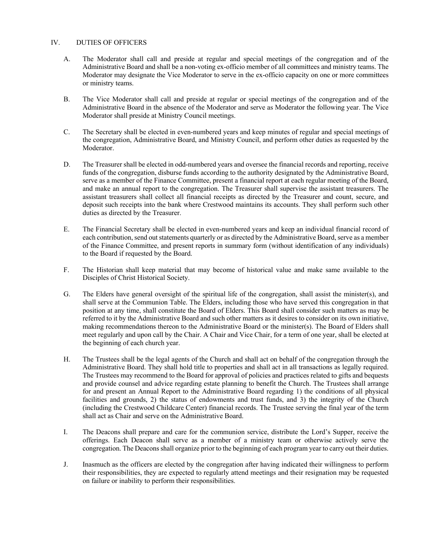# IV. DUTIES OF OFFICERS

- A. The Moderator shall call and preside at regular and special meetings of the congregation and of the Administrative Board and shall be a non-voting ex-officio member of all committees and ministry teams. The Moderator may designate the Vice Moderator to serve in the ex-officio capacity on one or more committees or ministry teams.
- B. The Vice Moderator shall call and preside at regular or special meetings of the congregation and of the Administrative Board in the absence of the Moderator and serve as Moderator the following year. The Vice Moderator shall preside at Ministry Council meetings.
- C. The Secretary shall be elected in even-numbered years and keep minutes of regular and special meetings of the congregation, Administrative Board, and Ministry Council, and perform other duties as requested by the Moderator.
- D. The Treasurer shall be elected in odd-numbered years and oversee the financial records and reporting, receive funds of the congregation, disburse funds according to the authority designated by the Administrative Board, serve as a member of the Finance Committee, present a financial report at each regular meeting of the Board, and make an annual report to the congregation. The Treasurer shall supervise the assistant treasurers. The assistant treasurers shall collect all financial receipts as directed by the Treasurer and count, secure, and deposit such receipts into the bank where Crestwood maintains its accounts. They shall perform such other duties as directed by the Treasurer.
- E. The Financial Secretary shall be elected in even-numbered years and keep an individual financial record of each contribution, send out statements quarterly or as directed by the Administrative Board, serve as a member of the Finance Committee, and present reports in summary form (without identification of any individuals) to the Board if requested by the Board.
- F. The Historian shall keep material that may become of historical value and make same available to the Disciples of Christ Historical Society.
- G. The Elders have general oversight of the spiritual life of the congregation, shall assist the minister(s), and shall serve at the Communion Table. The Elders, including those who have served this congregation in that position at any time, shall constitute the Board of Elders. This Board shall consider such matters as may be referred to it by the Administrative Board and such other matters as it desires to consider on its own initiative, making recommendations thereon to the Administrative Board or the minister(s). The Board of Elders shall meet regularly and upon call by the Chair. A Chair and Vice Chair, for a term of one year, shall be elected at the beginning of each church year.
- H. The Trustees shall be the legal agents of the Church and shall act on behalf of the congregation through the Administrative Board. They shall hold title to properties and shall act in all transactions as legally required. The Trustees may recommend to the Board for approval of policies and practices related to gifts and bequests and provide counsel and advice regarding estate planning to benefit the Church. The Trustees shall arrange for and present an Annual Report to the Administrative Board regarding 1) the conditions of all physical facilities and grounds, 2) the status of endowments and trust funds, and 3) the integrity of the Church (including the Crestwood Childcare Center) financial records. The Trustee serving the final year of the term shall act as Chair and serve on the Administrative Board.
- I. The Deacons shall prepare and care for the communion service, distribute the Lord's Supper, receive the offerings. Each Deacon shall serve as a member of a ministry team or otherwise actively serve the congregation. The Deacons shall organize prior to the beginning of each program year to carry out their duties.
- J. Inasmuch as the officers are elected by the congregation after having indicated their willingness to perform their responsibilities, they are expected to regularly attend meetings and their resignation may be requested on failure or inability to perform their responsibilities.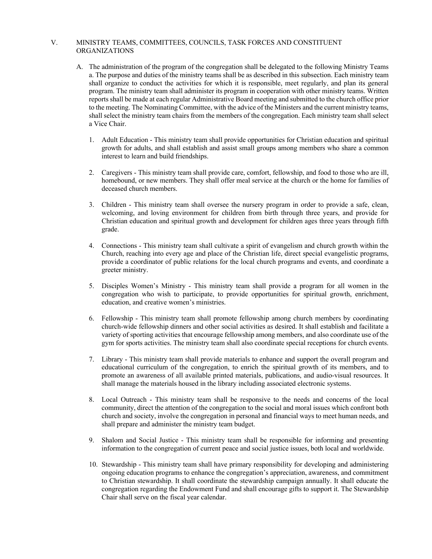# V. MINISTRY TEAMS, COMMITTEES, COUNCILS, TASK FORCES AND CONSTITUENT ORGANIZATIONS

- A. The administration of the program of the congregation shall be delegated to the following Ministry Teams a. The purpose and duties of the ministry teams shall be as described in this subsection. Each ministry team shall organize to conduct the activities for which it is responsible, meet regularly, and plan its general program. The ministry team shall administer its program in cooperation with other ministry teams. Written reports shall be made at each regular Administrative Board meeting and submitted to the church office prior to the meeting. The Nominating Committee, with the advice of the Ministers and the current ministry teams, shall select the ministry team chairs from the members of the congregation. Each ministry team shall select a Vice Chair.
	- 1. Adult Education This ministry team shall provide opportunities for Christian education and spiritual growth for adults, and shall establish and assist small groups among members who share a common interest to learn and build friendships.
	- 2. Caregivers This ministry team shall provide care, comfort, fellowship, and food to those who are ill, homebound, or new members. They shall offer meal service at the church or the home for families of deceased church members.
	- 3. Children This ministry team shall oversee the nursery program in order to provide a safe, clean, welcoming, and loving environment for children from birth through three years, and provide for Christian education and spiritual growth and development for children ages three years through fifth grade.
	- 4. Connections This ministry team shall cultivate a spirit of evangelism and church growth within the Church, reaching into every age and place of the Christian life, direct special evangelistic programs, provide a coordinator of public relations for the local church programs and events, and coordinate a greeter ministry.
	- 5. Disciples Women's Ministry This ministry team shall provide a program for all women in the congregation who wish to participate, to provide opportunities for spiritual growth, enrichment, education, and creative women's ministries.
	- 6. Fellowship This ministry team shall promote fellowship among church members by coordinating church-wide fellowship dinners and other social activities as desired. It shall establish and facilitate a variety of sporting activities that encourage fellowship among members, and also coordinate use of the gym for sports activities. The ministry team shall also coordinate special receptions for church events.
	- 7. Library This ministry team shall provide materials to enhance and support the overall program and educational curriculum of the congregation, to enrich the spiritual growth of its members, and to promote an awareness of all available printed materials, publications, and audio-visual resources. It shall manage the materials housed in the library including associated electronic systems.
	- 8. Local Outreach This ministry team shall be responsive to the needs and concerns of the local community, direct the attention of the congregation to the social and moral issues which confront both church and society, involve the congregation in personal and financial ways to meet human needs, and shall prepare and administer the ministry team budget.
	- 9. Shalom and Social Justice This ministry team shall be responsible for informing and presenting information to the congregation of current peace and social justice issues, both local and worldwide.
	- 10. Stewardship This ministry team shall have primary responsibility for developing and administering ongoing education programs to enhance the congregation's appreciation, awareness, and commitment to Christian stewardship. It shall coordinate the stewardship campaign annually. It shall educate the congregation regarding the Endowment Fund and shall encourage gifts to support it. The Stewardship Chair shall serve on the fiscal year calendar.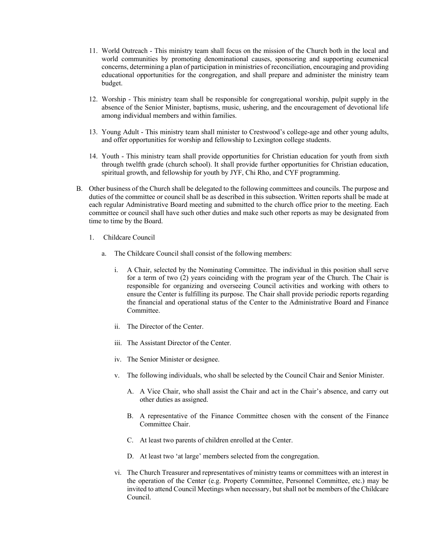- 11. World Outreach This ministry team shall focus on the mission of the Church both in the local and world communities by promoting denominational causes, sponsoring and supporting ecumenical concerns, determining a plan of participation in ministries of reconciliation, encouraging and providing educational opportunities for the congregation, and shall prepare and administer the ministry team budget.
- 12. Worship This ministry team shall be responsible for congregational worship, pulpit supply in the absence of the Senior Minister, baptisms, music, ushering, and the encouragement of devotional life among individual members and within families.
- 13. Young Adult This ministry team shall minister to Crestwood's college-age and other young adults, and offer opportunities for worship and fellowship to Lexington college students.
- 14. Youth This ministry team shall provide opportunities for Christian education for youth from sixth through twelfth grade (church school). It shall provide further opportunities for Christian education, spiritual growth, and fellowship for youth by JYF, Chi Rho, and CYF programming.
- B. Other business of the Church shall be delegated to the following committees and councils. The purpose and duties of the committee or council shall be as described in this subsection. Written reports shall be made at each regular Administrative Board meeting and submitted to the church office prior to the meeting. Each committee or council shall have such other duties and make such other reports as may be designated from time to time by the Board.
	- 1. Childcare Council
		- a. The Childcare Council shall consist of the following members:
			- i. A Chair, selected by the Nominating Committee. The individual in this position shall serve for a term of two (2) years coinciding with the program year of the Church. The Chair is responsible for organizing and overseeing Council activities and working with others to ensure the Center is fulfilling its purpose. The Chair shall provide periodic reports regarding the financial and operational status of the Center to the Administrative Board and Finance Committee.
			- ii. The Director of the Center.
			- iii. The Assistant Director of the Center.
			- iv. The Senior Minister or designee.
			- v. The following individuals, who shall be selected by the Council Chair and Senior Minister.
				- A. A Vice Chair, who shall assist the Chair and act in the Chair's absence, and carry out other duties as assigned.
				- B. A representative of the Finance Committee chosen with the consent of the Finance Committee Chair.
				- C. At least two parents of children enrolled at the Center.
				- D. At least two 'at large' members selected from the congregation.
			- vi. The Church Treasurer and representatives of ministry teams or committees with an interest in the operation of the Center (e.g. Property Committee, Personnel Committee, etc.) may be invited to attend Council Meetings when necessary, but shall not be members of the Childcare Council.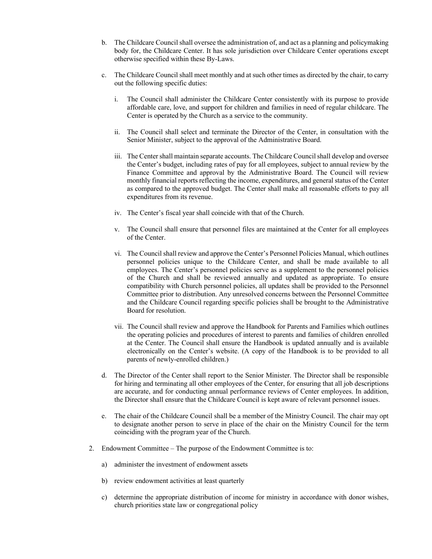- b. The Childcare Council shall oversee the administration of, and act as a planning and policymaking body for, the Childcare Center. It has sole jurisdiction over Childcare Center operations except otherwise specified within these By-Laws.
- c. The Childcare Council shall meet monthly and at such other times as directed by the chair, to carry out the following specific duties:
	- i. The Council shall administer the Childcare Center consistently with its purpose to provide affordable care, love, and support for children and families in need of regular childcare. The Center is operated by the Church as a service to the community.
	- ii. The Council shall select and terminate the Director of the Center, in consultation with the Senior Minister, subject to the approval of the Administrative Board.
	- iii. The Center shall maintain separate accounts. The Childcare Council shall develop and oversee the Center's budget, including rates of pay for all employees, subject to annual review by the Finance Committee and approval by the Administrative Board. The Council will review monthly financial reports reflecting the income, expenditures, and general status of the Center as compared to the approved budget. The Center shall make all reasonable efforts to pay all expenditures from its revenue.
	- iv. The Center's fiscal year shall coincide with that of the Church.
	- v. The Council shall ensure that personnel files are maintained at the Center for all employees of the Center.
	- vi. The Council shall review and approve the Center's Personnel Policies Manual, which outlines personnel policies unique to the Childcare Center, and shall be made available to all employees. The Center's personnel policies serve as a supplement to the personnel policies of the Church and shall be reviewed annually and updated as appropriate. To ensure compatibility with Church personnel policies, all updates shall be provided to the Personnel Committee prior to distribution. Any unresolved concerns between the Personnel Committee and the Childcare Council regarding specific policies shall be brought to the Administrative Board for resolution.
	- vii. The Council shall review and approve the Handbook for Parents and Families which outlines the operating policies and procedures of interest to parents and families of children enrolled at the Center. The Council shall ensure the Handbook is updated annually and is available electronically on the Center's website. (A copy of the Handbook is to be provided to all parents of newly-enrolled children.)
- d. The Director of the Center shall report to the Senior Minister. The Director shall be responsible for hiring and terminating all other employees of the Center, for ensuring that all job descriptions are accurate, and for conducting annual performance reviews of Center employees. In addition, the Director shall ensure that the Childcare Council is kept aware of relevant personnel issues.
- e. The chair of the Childcare Council shall be a member of the Ministry Council. The chair may opt to designate another person to serve in place of the chair on the Ministry Council for the term coinciding with the program year of the Church.
- 2. Endowment Committee The purpose of the Endowment Committee is to:
	- a) administer the investment of endowment assets
	- b) review endowment activities at least quarterly
	- c) determine the appropriate distribution of income for ministry in accordance with donor wishes, church priorities state law or congregational policy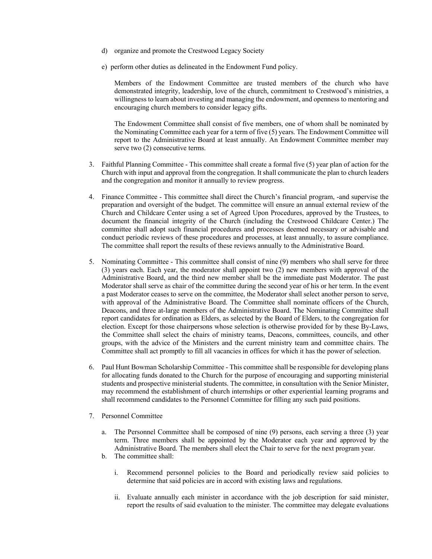- d) organize and promote the Crestwood Legacy Society
- e) perform other duties as delineated in the Endowment Fund policy.

Members of the Endowment Committee are trusted members of the church who have demonstrated integrity, leadership, love of the church, commitment to Crestwood's ministries, a willingness to learn about investing and managing the endowment, and openness to mentoring and encouraging church members to consider legacy gifts.

The Endowment Committee shall consist of five members, one of whom shall be nominated by the Nominating Committee each year for a term of five (5) years. The Endowment Committee will report to the Administrative Board at least annually. An Endowment Committee member may serve two (2) consecutive terms.

- 3. Faithful Planning Committee This committee shall create a formal five (5) year plan of action for the Church with input and approval from the congregation. It shall communicate the plan to church leaders and the congregation and monitor it annually to review progress.
- 4. Finance Committee This committee shall direct the Church's financial program, -and supervise the preparation and oversight of the budget. The committee will ensure an annual external review of the Church and Childcare Center using a set of Agreed Upon Procedures, approved by the Trustees, to document the financial integrity of the Church (including the Crestwood Childcare Center.) The committee shall adopt such financial procedures and processes deemed necessary or advisable and conduct periodic reviews of these procedures and processes, at least annually, to assure compliance. The committee shall report the results of these reviews annually to the Administrative Board.
- 5. Nominating Committee This committee shall consist of nine (9) members who shall serve for three (3) years each. Each year, the moderator shall appoint two (2) new members with approval of the Administrative Board, and the third new member shall be the immediate past Moderator. The past Moderator shall serve as chair of the committee during the second year of his or her term. In the event a past Moderator ceases to serve on the committee, the Moderator shall select another person to serve, with approval of the Administrative Board. The Committee shall nominate officers of the Church, Deacons, and three at-large members of the Administrative Board. The Nominating Committee shall report candidates for ordination as Elders, as selected by the Board of Elders, to the congregation for election. Except for those chairpersons whose selection is otherwise provided for by these By-Laws, the Committee shall select the chairs of ministry teams, Deacons, committees, councils, and other groups, with the advice of the Ministers and the current ministry team and committee chairs. The Committee shall act promptly to fill all vacancies in offices for which it has the power of selection.
- 6. Paul Hunt Bowman Scholarship Committee This committee shall be responsible for developing plans for allocating funds donated to the Church for the purpose of encouraging and supporting ministerial students and prospective ministerial students. The committee, in consultation with the Senior Minister, may recommend the establishment of church internships or other experiential learning programs and shall recommend candidates to the Personnel Committee for filling any such paid positions.
- 7. Personnel Committee
	- a. The Personnel Committee shall be composed of nine (9) persons, each serving a three (3) year term. Three members shall be appointed by the Moderator each year and approved by the Administrative Board. The members shall elect the Chair to serve for the next program year.
	- b. The committee shall:
		- i. Recommend personnel policies to the Board and periodically review said policies to determine that said policies are in accord with existing laws and regulations.
		- ii. Evaluate annually each minister in accordance with the job description for said minister, report the results of said evaluation to the minister. The committee may delegate evaluations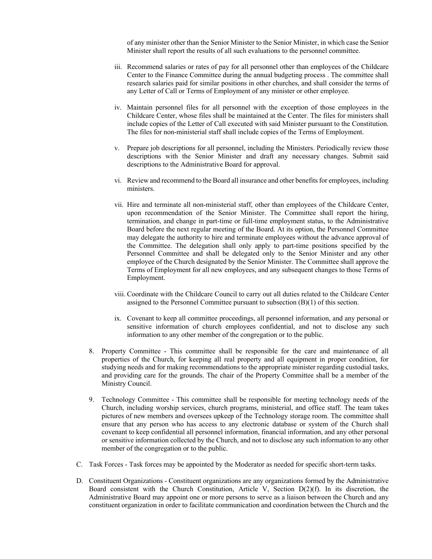of any minister other than the Senior Minister to the Senior Minister, in which case the Senior Minister shall report the results of all such evaluations to the personnel committee.

- iii. Recommend salaries or rates of pay for all personnel other than employees of the Childcare Center to the Finance Committee during the annual budgeting process . The committee shall research salaries paid for similar positions in other churches, and shall consider the terms of any Letter of Call or Terms of Employment of any minister or other employee.
- iv. Maintain personnel files for all personnel with the exception of those employees in the Childcare Center, whose files shall be maintained at the Center. The files for ministers shall include copies of the Letter of Call executed with said Minister pursuant to the Constitution. The files for non-ministerial staff shall include copies of the Terms of Employment.
- v. Prepare job descriptions for all personnel, including the Ministers. Periodically review those descriptions with the Senior Minister and draft any necessary changes. Submit said descriptions to the Administrative Board for approval.
- vi. Review and recommend to the Board all insurance and other benefits for employees, including ministers.
- vii. Hire and terminate all non-ministerial staff, other than employees of the Childcare Center, upon recommendation of the Senior Minister. The Committee shall report the hiring, termination, and change in part-time or full-time employment status, to the Administrative Board before the next regular meeting of the Board. At its option, the Personnel Committee may delegate the authority to hire and terminate employees without the advance approval of the Committee. The delegation shall only apply to part-time positions specified by the Personnel Committee and shall be delegated only to the Senior Minister and any other employee of the Church designated by the Senior Minister. The Committee shall approve the Terms of Employment for all new employees, and any subsequent changes to those Terms of Employment.
- viii. Coordinate with the Childcare Council to carry out all duties related to the Childcare Center assigned to the Personnel Committee pursuant to subsection (B)(1) of this section.
- ix. Covenant to keep all committee proceedings, all personnel information, and any personal or sensitive information of church employees confidential, and not to disclose any such information to any other member of the congregation or to the public.
- 8. Property Committee This committee shall be responsible for the care and maintenance of all properties of the Church, for keeping all real property and all equipment in proper condition, for studying needs and for making recommendations to the appropriate minister regarding custodial tasks, and providing care for the grounds. The chair of the Property Committee shall be a member of the Ministry Council.
- 9. Technology Committee This committee shall be responsible for meeting technology needs of the Church, including worship services, church programs, ministerial, and office staff. The team takes pictures of new members and oversees upkeep of the Technology storage room. The committee shall ensure that any person who has access to any electronic database or system of the Church shall covenant to keep confidential all personnel information, financial information, and any other personal or sensitive information collected by the Church, and not to disclose any such information to any other member of the congregation or to the public.
- C. Task Forces Task forces may be appointed by the Moderator as needed for specific short-term tasks.
- D. Constituent Organizations Constituent organizations are any organizations formed by the Administrative Board consistent with the Church Constitution, Article V, Section D(2)(f). In its discretion, the Administrative Board may appoint one or more persons to serve as a liaison between the Church and any constituent organization in order to facilitate communication and coordination between the Church and the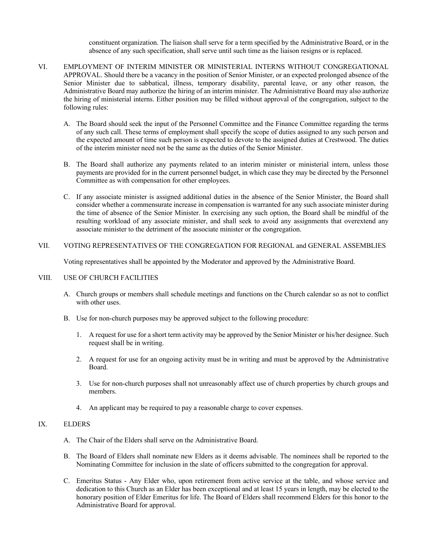constituent organization. The liaison shall serve for a term specified by the Administrative Board, or in the absence of any such specification, shall serve until such time as the liaison resigns or is replaced.

- VI. EMPLOYMENT OF INTERIM MINISTER OR MINISTERIAL INTERNS WITHOUT CONGREGATIONAL APPROVAL. Should there be a vacancy in the position of Senior Minister, or an expected prolonged absence of the Senior Minister due to sabbatical, illness, temporary disability, parental leave, or any other reason, the Administrative Board may authorize the hiring of an interim minister. The Administrative Board may also authorize the hiring of ministerial interns. Either position may be filled without approval of the congregation, subject to the following rules:
	- A. The Board should seek the input of the Personnel Committee and the Finance Committee regarding the terms of any such call. These terms of employment shall specify the scope of duties assigned to any such person and the expected amount of time such person is expected to devote to the assigned duties at Crestwood. The duties of the interim minister need not be the same as the duties of the Senior Minister.
	- B. The Board shall authorize any payments related to an interim minister or ministerial intern, unless those payments are provided for in the current personnel budget, in which case they may be directed by the Personnel Committee as with compensation for other employees.
	- C. If any associate minister is assigned additional duties in the absence of the Senior Minister, the Board shall consider whether a commensurate increase in compensation is warranted for any such associate minister during the time of absence of the Senior Minister. In exercising any such option, the Board shall be mindful of the resulting workload of any associate minister, and shall seek to avoid any assignments that overextend any associate minister to the detriment of the associate minister or the congregation.

# VII. VOTING REPRESENTATIVES OF THE CONGREGATION FOR REGIONAL and GENERAL ASSEMBLIES

Voting representatives shall be appointed by the Moderator and approved by the Administrative Board.

# VIII. USE OF CHURCH FACILITIES

- A. Church groups or members shall schedule meetings and functions on the Church calendar so as not to conflict with other uses.
- B. Use for non-church purposes may be approved subject to the following procedure:
	- 1. A request for use for a short term activity may be approved by the Senior Minister or his/her designee. Such request shall be in writing.
	- 2. A request for use for an ongoing activity must be in writing and must be approved by the Administrative Board.
	- 3. Use for non-church purposes shall not unreasonably affect use of church properties by church groups and members.
	- 4. An applicant may be required to pay a reasonable charge to cover expenses.

# IX. ELDERS

- A. The Chair of the Elders shall serve on the Administrative Board.
- B. The Board of Elders shall nominate new Elders as it deems advisable. The nominees shall be reported to the Nominating Committee for inclusion in the slate of officers submitted to the congregation for approval.
- C. Emeritus Status Any Elder who, upon retirement from active service at the table, and whose service and dedication to this Church as an Elder has been exceptional and at least 15 years in length, may be elected to the honorary position of Elder Emeritus for life. The Board of Elders shall recommend Elders for this honor to the Administrative Board for approval.